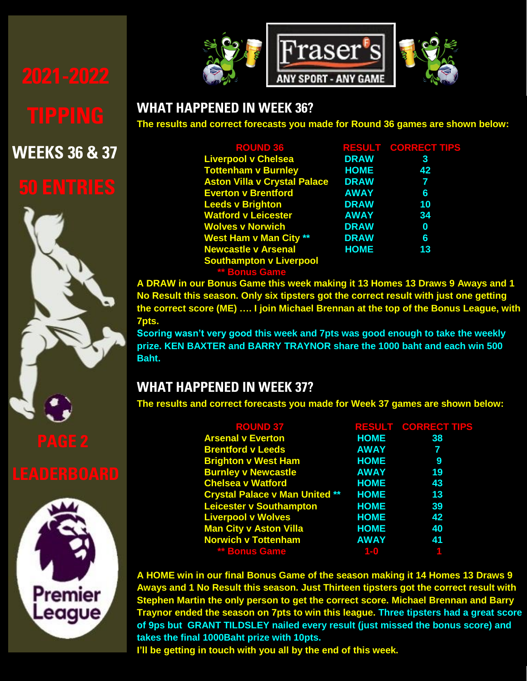# **WEEKS 36 & 37**











#### **WHAT HAPPENED IN WEEK 36?**

**FRASER'S EPL TIPPING COMPETITION The results and correct forecasts you made for Round 36 games are shown below:**

| <b>ROUND 36</b>                     |             | <b>RESULT CORRECT TIPS</b> |
|-------------------------------------|-------------|----------------------------|
| <b>Liverpool v Chelsea</b>          | <b>DRAW</b> | 3                          |
| <b>Tottenham v Burnley</b>          | <b>HOME</b> | 42                         |
| <b>Aston Villa v Crystal Palace</b> | <b>DRAW</b> | 7                          |
| <b>Everton v Brentford</b>          | <b>AWAY</b> | 6                          |
| <b>Leeds v Brighton</b>             | <b>DRAW</b> | 10                         |
| <b>Watford v Leicester</b>          | <b>AWAY</b> | 34                         |
| <b>Wolves v Norwich</b>             | <b>DRAW</b> | $\bf{0}$                   |
| <b>West Ham v Man City **</b>       | <b>DRAW</b> | 6                          |
| <b>Newcastle v Arsenal</b>          | <b>HOME</b> | 13                         |
| <b>Southampton v Liverpool</b>      |             |                            |
| <b>** Bonus Game</b>                |             |                            |

**A DRAW in our Bonus Game this week making it 13 Homes 13 Draws 9 Aways and 1 No Result this season. Only six tipsters got the correct result with just one getting the correct score (ME) …. I join Michael Brennan at the top of the Bonus League, with 7pts.** 

**Scoring wasn't very good this week and 7pts was good enough to take the weekly prize. KEN BAXTER and BARRY TRAYNOR share the 1000 baht and each win 500 Baht.**

### **WHAT HAPPENED IN WEEK 37?**

**The results and correct forecasts you made for Week 37 games are shown below:**

| <b>ROUND 37</b>                       |                        | <b>RESULT CORRECT TIPS</b> |
|---------------------------------------|------------------------|----------------------------|
| <b>Arsenal v Everton</b>              | <b>HOME</b>            | 38                         |
| <b>Brentford v Leeds</b>              | <b>AWAY</b>            | 7                          |
| <b>Brighton v West Ham</b>            | <b>HOME</b>            | - 9                        |
| <b>Burnley v Newcastle</b>            | <b>AWAY</b>            | 19                         |
| <b>Chelsea v Watford</b>              | <b>HOME</b>            | 43                         |
| <b>Crystal Palace v Man United **</b> | <b>HOME</b>            | 13                         |
| <b>Leicester v Southampton</b>        | <b>HOME</b>            | 39                         |
| <b>Liverpool v Wolves</b>             | <b>HOME</b>            | 42                         |
| <b>Man City v Aston Villa</b>         | <b>HOME</b>            | 40                         |
| <b>Norwich v Tottenham</b>            | <b>Example 20 AWAY</b> | 41                         |
| ** Bonus Game                         | $1 - 0$                |                            |

**A HOME win in our final Bonus Game of the season making it 14 Homes 13 Draws 9 Aways and 1 No Result this season. Just Thirteen tipsters got the correct result with Stephen Martin the only person to get the correct score. Michael Brennan and Barry Traynor ended the season on 7pts to win this league. Three tipsters had a great score of 9ps but GRANT TILDSLEY nailed every result (just missed the bonus score) and takes the final 1000Baht prize with 10pts.**

**I'll be getting in touch with you all by the end of this week.**